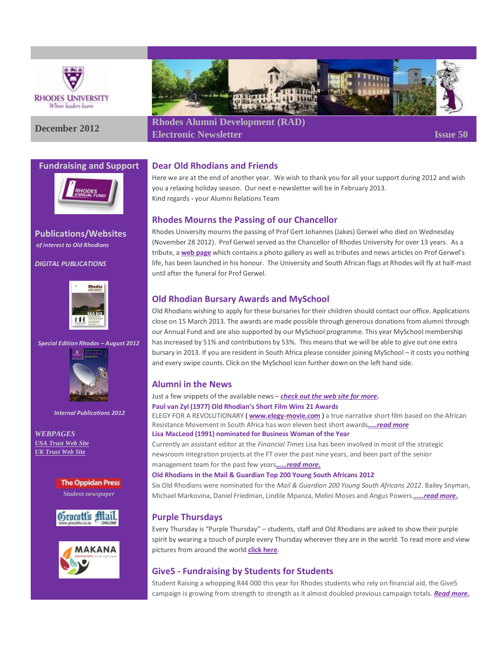

#### **Fundraising and Support**



**Publications/Websites** *of interest to Old Rhodians*

*DIGITAL PUBLICATIONS*



*Special Edition Rhodos – August 2012*



*Internal Publications 2012*

*WEBPAGES [USA Trust Web Site](http://www.rhodesalumni.com/) [UK Trust Web Site](http://www.rhodesalumni.co.uk/)*

> **The Oppidan Press S***tudent newspaper*







**December <sup>2012</sup> Rhodes Alumni Development (RAD) Electronic Newsletter Issue 50**

### **Dear Old Rhodians and Friends**

Here we are at the end of another year. We wish to thank you for all your support during 2012 and wish you a relaxing holiday season. Our next e-newsletter will be in February 2013. Kind regards - your Alumni Relations Team

### **Rhodes Mourns the Passing of our Chancellor**

Rhodes University mourns the passing of Prof Gert Johannes (Jakes) Gerwel who died on Wednesday (November 28 2012). Prof Gerwel served as the Chancellor of Rhodes University for over 13 years. As a tribute, a **[web page](http://www.ru.ac.za/vice-chancellor/chancellor/)** which contains a photo gallery as well as tributes and news articles on Prof Gerwel's life, has been launched in his honour. The University and South African flags at Rhodes will fly at half-mast until after the funeral for Prof Gerwel.

## **Old Rhodian Bursary Awards and MySchool**

Old Rhodians wishing to apply for these bursaries for their children should contact our office. Applications close on 15 March 2013. The awards are made possible through generous donations from alumni through our Annual Fund and are also supported by our MySchool programme. This year MySchool membership has increased by 51% and contributions by 53%. This means that we will be able to give out one extra bursary in 2013. If you are resident in South Africa please consider joining MySchool – it costs you nothing and every swipe counts. Click on the MySchool icon further down on the left hand side.

# **Alumni in the News**

Just a few snippets of the available news – *[check out the web site for more.](http://www.ru.ac.za/latestnews/)*

**Paul van Zyl (1977) Old Rhodian's Short Film Wins 21 Awards**

ELEGY FOR A REVOLUTIONARY ( **[www.elegy-movie.com](http://www.elegy-movie.com/)** ) a true narrative short film based on the African Resistance Movement in South Africa has won eleven best short awards*[…..read more](http://www.ru.ac.za/latestnews/name,71706,en.html)* **Lisa MacLeod (1991) nominated for Business Woman of the Year**

Currently an assistant editor at the *Financial Times* Lisa has been involved in most of the strategic newsroom integration projects at the FT over the past nine years, and been part of the senior management team for the past few years*[……read more.](http://www.ru.ac.za/alumni/alumniinthenews/name,70141,en.html)*

#### **Old Rhodians in the Mail & Guardian Top 200 Young South Africans 2012**

Six Old Rhodians were nominated for the *Mail & Guardian 200 Young South Africans 2012*. Bailey Snyman, Michael Markovina, Daniel Friedman, Lindile Mpanza, Melini Moses and Angus Powers *[……read more.](http://www.ru.ac.za/alumni/alumniinthenews/name,64042,en.html)*

### **Purple Thursdays**

Every Thursday is "Purple Thursday" – students, staff and Old Rhodians are asked to show their purple spirit by wearing a touch of purple every Thursday wherever they are in the world. To read more and view pictures from around the world **[click here](http://www.ru.ac.za/alumni/purplethursday/)**.

### **Give5 - Fundraising by Students for Students**

Student Raising a whopping R44 000 this year for Rhodes students who rely on financial aid, the Give5 campaign is growing from strength to strength as it almost doubled previous campaign totals. *[Read more.](http://www.ru.ac.za/latestnews/name,72325,en.html)*